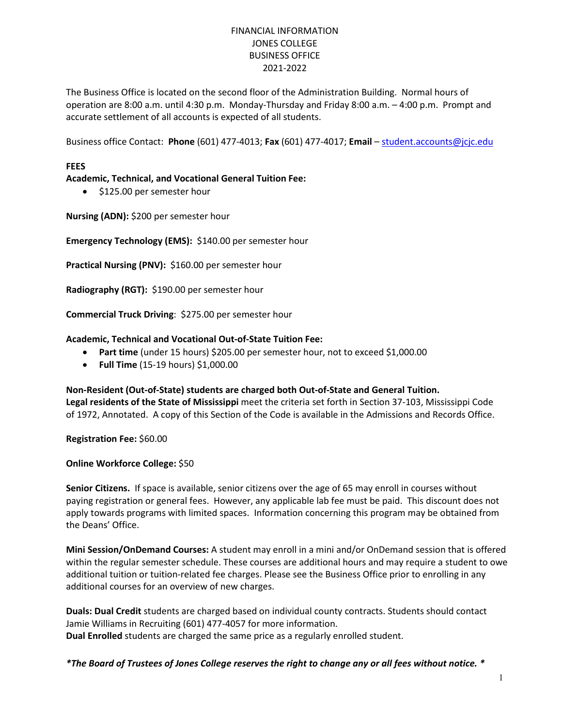# FINANCIAL INFORMATION JONES COLLEGE BUSINESS OFFICE 2021-2022

The Business Office is located on the second floor of the Administration Building. Normal hours of operation are 8:00 a.m. until 4:30 p.m. Monday-Thursday and Friday 8:00 a.m. – 4:00 p.m. Prompt and accurate settlement of all accounts is expected of all students.

Business office Contact: **Phone** (601) 477-4013; **Fax** (601) 477-4017; **Email** – [student.accounts@jcjc.edu](mailto:student.accounts@jcjc.edu)

# **FEES**

# **Academic, Technical, and Vocational General Tuition Fee:**

• \$125.00 per semester hour

**Nursing (ADN):** \$200 per semester hour

**Emergency Technology (EMS):** \$140.00 per semester hour

**Practical Nursing (PNV):** \$160.00 per semester hour

**Radiography (RGT):** \$190.00 per semester hour

**Commercial Truck Driving**: \$275.00 per semester hour

#### **Academic, Technical and Vocational Out-of-State Tuition Fee:**

- Part time (under 15 hours) \$205.00 per semester hour, not to exceed \$1,000.00
- **Full Time** (15-19 hours) \$1,000.00

**Non-Resident (Out-of-State) students are charged both Out-of-State and General Tuition. Legal residents of the State of Mississippi** meet the criteria set forth in Section 37-103, Mississippi Code of 1972, Annotated.A copy of this Section of the Code is available in the Admissions and Records Office.

**Registration Fee:** \$60.00

#### **Online Workforce College:** \$50

**Senior Citizens.** If space is available, senior citizens over the age of 65 may enroll in courses without paying registration or general fees. However, any applicable lab fee must be paid. This discount does not apply towards programs with limited spaces. Information concerning this program may be obtained from the Deans' Office.

**Mini Session/OnDemand Courses:** A student may enroll in a mini and/or OnDemand session that is offered within the regular semester schedule. These courses are additional hours and may require a student to owe additional tuition or tuition-related fee charges. Please see the Business Office prior to enrolling in any additional courses for an overview of new charges.

**Duals: Dual Credit** students are charged based on individual county contracts. Students should contact Jamie Williams in Recruiting (601) 477-4057 for more information. **Dual Enrolled** students are charged the same price as a regularly enrolled student.

*\*The Board of Trustees of Jones College reserves the right to change any or all fees without notice. \**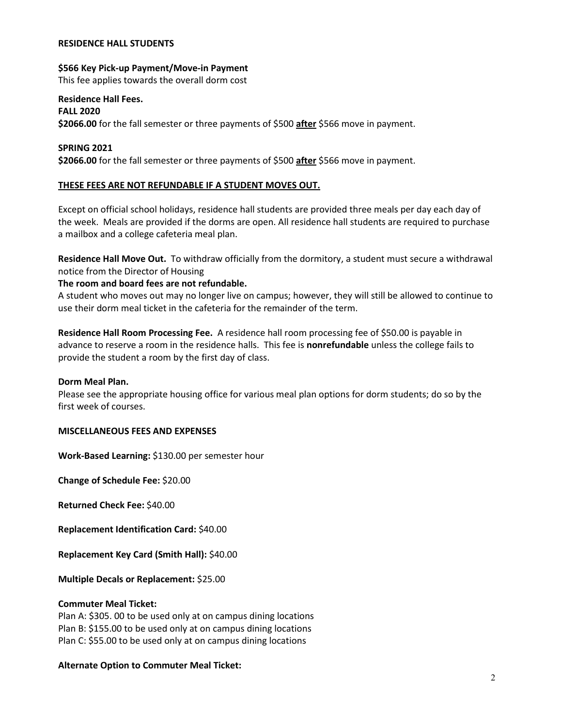#### **RESIDENCE HALL STUDENTS**

#### **\$566 Key Pick-up Payment/Move-in Payment**

This fee applies towards the overall dorm cost

# **Residence Hall Fees.**

**FALL 2020 \$2066.00** for the fall semester or three payments of \$500 **after** \$566 move in payment.

### **SPRING 2021**

**\$2066.00** for the fall semester or three payments of \$500 **after** \$566 move in payment.

## **THESE FEES ARE NOT REFUNDABLE IF A STUDENT MOVES OUT.**

Except on official school holidays, residence hall students are provided three meals per day each day of the week. Meals are provided if the dorms are open. All residence hall students are required to purchase a mailbox and a college cafeteria meal plan.

**Residence Hall Move Out.** To withdraw officially from the dormitory, a student must secure a withdrawal notice from the Director of Housing

#### **The room and board fees are not refundable.**

A student who moves out may no longer live on campus; however, they will still be allowed to continue to use their dorm meal ticket in the cafeteria for the remainder of the term.

**Residence Hall Room Processing Fee.** A residence hall room processing fee of \$50.00 is payable in advance to reserve a room in the residence halls. This fee is **nonrefundable** unless the college fails to provide the student a room by the first day of class.

#### **Dorm Meal Plan.**

Please see the appropriate housing office for various meal plan options for dorm students; do so by the first week of courses.

#### **MISCELLANEOUS FEES AND EXPENSES**

**Work-Based Learning:** \$130.00 per semester hour

**Change of Schedule Fee:** \$20.00

**Returned Check Fee:** \$40.00

**Replacement Identification Card:** \$40.00

**Replacement Key Card (Smith Hall):** \$40.00

**Multiple Decals or Replacement:** \$25.00

#### **Commuter Meal Ticket:**

Plan A: \$305. 00 to be used only at on campus dining locations Plan B: \$155.00 to be used only at on campus dining locations Plan C: \$55.00 to be used only at on campus dining locations

# **Alternate Option to Commuter Meal Ticket:**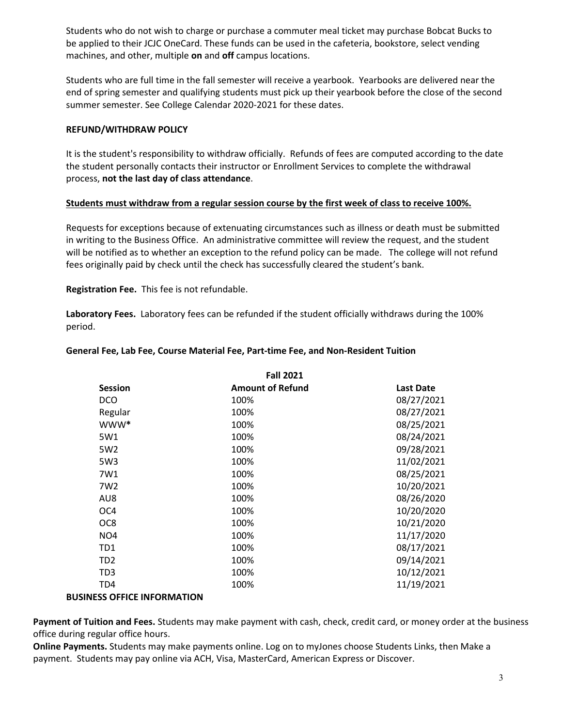Students who do not wish to charge or purchase a commuter meal ticket may purchase Bobcat Bucks to be applied to their JCJC OneCard. These funds can be used in the cafeteria, bookstore, select vending machines, and other, multiple **on** and **off** campus locations.

Students who are full time in the fall semester will receive a yearbook. Yearbooks are delivered near the end of spring semester and qualifying students must pick up their yearbook before the close of the second summer semester. See College Calendar 2020-2021 for these dates.

# **REFUND/WITHDRAW POLICY**

It is the student's responsibility to withdraw officially. Refunds of fees are computed according to the date the student personally contacts their instructor or Enrollment Services to complete the withdrawal process, **not the last day of class attendance**.

# **Students must withdraw from a regular session course by the first week of class to receive 100%.**

Requests for exceptions because of extenuating circumstances such as illness or death must be submitted in writing to the Business Office. An administrative committee will review the request, and the student will be notified as to whether an exception to the refund policy can be made. The college will not refund fees originally paid by check until the check has successfully cleared the student's bank.

**Registration Fee.** This fee is not refundable.

**Laboratory Fees.** Laboratory fees can be refunded if the student officially withdraws during the 100% period.

| <b>Fall 2021</b> |                         |                  |  |
|------------------|-------------------------|------------------|--|
| <b>Session</b>   | <b>Amount of Refund</b> | <b>Last Date</b> |  |
| <b>DCO</b>       | 100%                    | 08/27/2021       |  |
| Regular          | 100%                    | 08/27/2021       |  |
| www*             | 100%                    | 08/25/2021       |  |
| 5W1              | 100%                    | 08/24/2021       |  |
| 5W <sub>2</sub>  | 100%                    | 09/28/2021       |  |
| 5W3              | 100%                    | 11/02/2021       |  |
| 7W1              | 100%                    | 08/25/2021       |  |
| 7W <sub>2</sub>  | 100%                    | 10/20/2021       |  |
| AU8              | 100%                    | 08/26/2020       |  |
| OC4              | 100%                    | 10/20/2020       |  |
| OC8              | 100%                    | 10/21/2020       |  |
| NO <sub>4</sub>  | 100%                    | 11/17/2020       |  |
| TD1              | 100%                    | 08/17/2021       |  |
| TD <sub>2</sub>  | 100%                    | 09/14/2021       |  |
| TD3              | 100%                    | 10/12/2021       |  |
| TD4              | 100%                    | 11/19/2021       |  |

#### **General Fee, Lab Fee, Course Material Fee, Part-time Fee, and Non-Resident Tuition**

# **BUSINESS OFFICE INFORMATION**

**Payment of Tuition and Fees.** Students may make payment with cash, check, credit card, or money order at the business office during regular office hours.

**Online Payments.** Students may make payments online. Log on to myJones choose Students Links, then Make a payment. Students may pay online via ACH, Visa, MasterCard, American Express or Discover.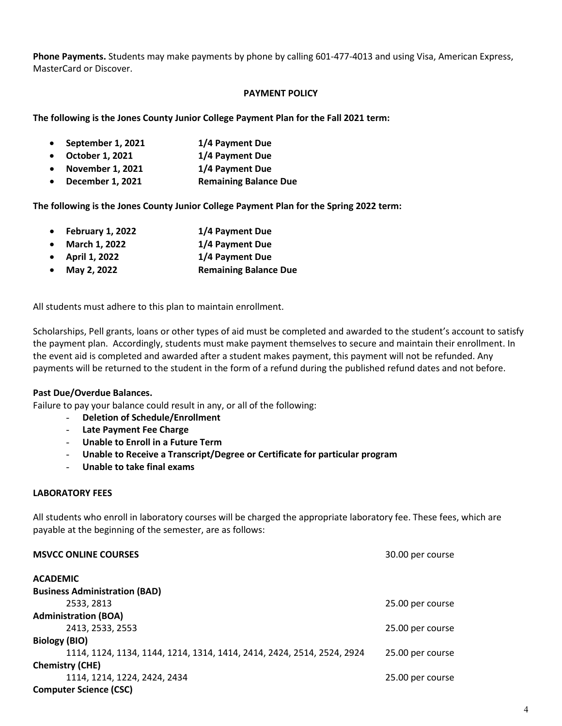**Phone Payments.** Students may make payments by phone by calling 601-477-4013 and using Visa, American Express, MasterCard or Discover.

### **PAYMENT POLICY**

**The following is the Jones County Junior College Payment Plan for the Fall 2021 term:**

- **September 1, 2021 1/4 Payment Due**
- **October 1, 2021 1/4 Payment Due**
- **November 1, 2021 1/4 Payment Due**
- **December 1, 2021 Remaining Balance Due**

**The following is the Jones County Junior College Payment Plan for the Spring 2022 term:**

- **February 1, 2022 1/4 Payment Due**
- **March 1, 2022 1/4 Payment Due**
- **April 1, 2022 1/4 Payment Due**
- **May 2, 2022 Remaining Balance Due**

All students must adhere to this plan to maintain enrollment.

Scholarships, Pell grants, loans or other types of aid must be completed and awarded to the student's account to satisfy the payment plan. Accordingly, students must make payment themselves to secure and maintain their enrollment. In the event aid is completed and awarded after a student makes payment, this payment will not be refunded. Any payments will be returned to the student in the form of a refund during the published refund dates and not before.

# **Past Due/Overdue Balances.**

Failure to pay your balance could result in any, or all of the following:

- **Deletion of Schedule/Enrollment**
- **Late Payment Fee Charge**
- **Unable to Enroll in a Future Term**
- **Unable to Receive a Transcript/Degree or Certificate for particular program**
- **Unable to take final exams**

# **LABORATORY FEES**

All students who enroll in laboratory courses will be charged the appropriate laboratory fee. These fees, which are payable at the beginning of the semester, are as follows:

| <b>MSVCC ONLINE COURSES</b>                                            | 30.00 per course |
|------------------------------------------------------------------------|------------------|
| <b>ACADEMIC</b>                                                        |                  |
| <b>Business Administration (BAD)</b>                                   |                  |
| 2533, 2813                                                             | 25.00 per course |
| <b>Administration (BOA)</b>                                            |                  |
| 2413, 2533, 2553                                                       | 25.00 per course |
| Biology (BIO)                                                          |                  |
| 1114, 1124, 1134, 1144, 1214, 1314, 1414, 2414, 2424, 2514, 2524, 2924 | 25.00 per course |
| <b>Chemistry (CHE)</b>                                                 |                  |
| 1114, 1214, 1224, 2424, 2434                                           | 25.00 per course |
| <b>Computer Science (CSC)</b>                                          |                  |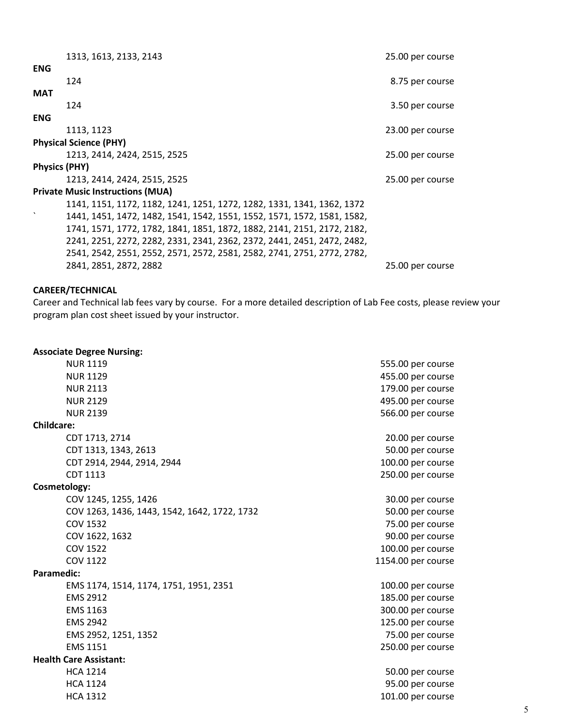| 1313, 1613, 2133, 2143                                                                               | 25.00 per course |
|------------------------------------------------------------------------------------------------------|------------------|
| <b>ENG</b>                                                                                           |                  |
| 124                                                                                                  | 8.75 per course  |
| <b>MAT</b>                                                                                           |                  |
| 124                                                                                                  | 3.50 per course  |
| <b>ENG</b>                                                                                           |                  |
| 1113, 1123                                                                                           | 23.00 per course |
| <b>Physical Science (PHY)</b>                                                                        |                  |
| 1213, 2414, 2424, 2515, 2525                                                                         | 25.00 per course |
| <b>Physics (PHY)</b>                                                                                 |                  |
| 1213, 2414, 2424, 2515, 2525                                                                         | 25.00 per course |
| <b>Private Music Instructions (MUA)</b>                                                              |                  |
| 1141, 1151, 1172, 1182, 1241, 1251, 1272, 1282, 1331, 1341, 1362, 1372                               |                  |
| $\boldsymbol{\mathsf{v}}$<br>1441, 1451, 1472, 1482, 1541, 1542, 1551, 1552, 1571, 1572, 1581, 1582, |                  |
| 1741, 1571, 1772, 1782, 1841, 1851, 1872, 1882, 2141, 2151, 2172, 2182,                              |                  |
| 2241, 2251, 2272, 2282, 2331, 2341, 2362, 2372, 2441, 2451, 2472, 2482,                              |                  |
| 2541, 2542, 2551, 2552, 2571, 2572, 2581, 2582, 2741, 2751, 2772, 2782,                              |                  |
| 2841, 2851, 2872, 2882                                                                               | 25.00 per course |

### **CAREER/TECHNICAL**

Career and Technical lab fees vary by course. For a more detailed description of Lab Fee costs, please review your program plan cost sheet issued by your instructor.

# **Associate Degree Nursing:** NUR 1119 555.00 per course NUR 1129 455.00 per course NUR 2113 179.00 per course NUR 2129 495.00 per course NUR 2139 566.00 per course **Childcare:** CDT 1713, 2714 20.00 per course CDT 1313, 1343, 2613 50.00 per course CDT 2914, 2944, 2914, 2944 100.00 per course CDT 1113 250.00 per course **Cosmetology:** COV 1245, 1255, 1426 30.00 per course COV 1263, 1436, 1443, 1542, 1642, 1722, 1732 50.00 per course COV 1532 75.00 per course COV 1622, 1632 90.00 per course COV 1522 100.00 per course COV 1122 1154.00 per course **Paramedic:** EMS 1174, 1514, 1174, 1751, 1951, 2351 100.00 per course EMS 2912 **185.00** per course EMS 1163 300.00 per course EMS 2942 125.00 per course EMS 2952, 1251, 1352 75.00 per course EMS 1151 250.00 per course **Health Care Assistant:** HCA 1214 50.00 per course HCA 1124 95.00 per course HCA 1312 101.00 per course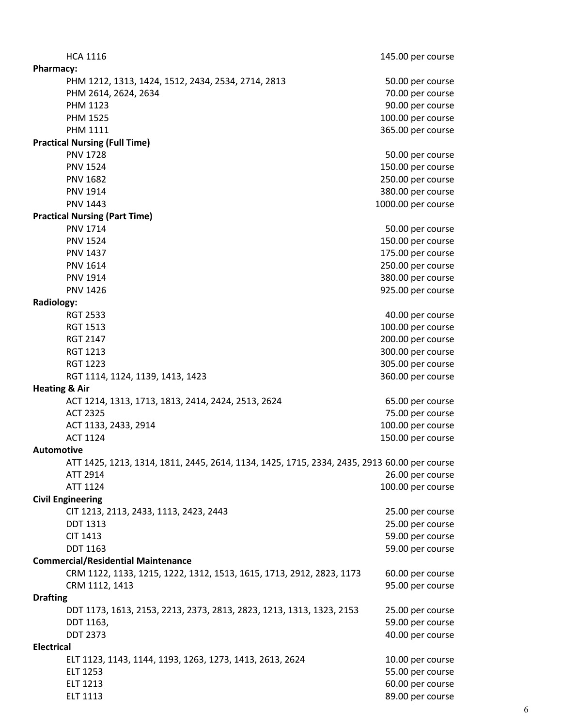HCA 1116 1116 12 145.00 per course **Pharmacy:** PHM 1212, 1313, 1424, 1512, 2434, 2534, 2714, 2813 50.00 per course PHM 2614, 2624, 2634 70.00 per course PHM 1123 90.00 per course PHM 1525 100.00 per course PHM 1111 365.00 per course **Practical Nursing (Full Time)** PNV 1728 50.00 per course PNV 1524 150.00 per course PNV 1682 250.00 per course PNV 1914 380.00 per course PNV 1443 2000.00 per course **Practical Nursing (Part Time)** PNV 1714 50.00 per course PNV 1524 150.00 per course PNV 1437 200 per course that the state of the state of the state of the state of the state of the state of the state of the state of the state of the state of the state of the state of the state of the state of the state o PNV 1614 250.00 per course PNV 1914 380.00 per course PNV 1426 **925.00** per course **Radiology:** RGT 2533 40.00 per course RGT 1513 100.00 per course RGT 2147 200.00 per course RGT 1213 300.00 per course RGT 1223 305.00 per course RGT 1114, 1124, 1139, 1413, 1423 360.00 per course **Heating & Air** ACT 1214, 1313, 1713, 1813, 2414, 2424, 2513, 2624 65.00 per course ACT 2325 75.00 per course ACT 1133, 2433, 2914 100.00 per course ACT 1124 150.00 per course **Automotive** ATT 1425, 1213, 1314, 1811, 2445, 2614, 1134, 1425, 1715, 2334, 2435, 2913 60.00 per course ATT 2914 26.00 per course ATT 1124 100.00 per course **Civil Engineering** CIT 1213, 2113, 2433, 1113, 2423, 2443 25.00 per course DDT 1313 25.00 per course CIT 1413 59.00 per course DDT 1163 59.00 per course **Commercial/Residential Maintenance** CRM 1122, 1133, 1215, 1222, 1312, 1513, 1615, 1713, 2912, 2823, 1173 60.00 per course CRM 1112, 1413 95.00 per course **Drafting** DDT 1173, 1613, 2153, 2213, 2373, 2813, 2823, 1213, 1313, 1323, 2153 25.00 per course DDT 1163, 59.00 per course DDT 2373 40.00 per course **Electrical** ELT 1123, 1143, 1144, 1193, 1263, 1273, 1413, 2613, 2624 10.00 per course ELT 1253 55.00 per course ELT 1213 60.00 per course ELT 1113 89.00 per course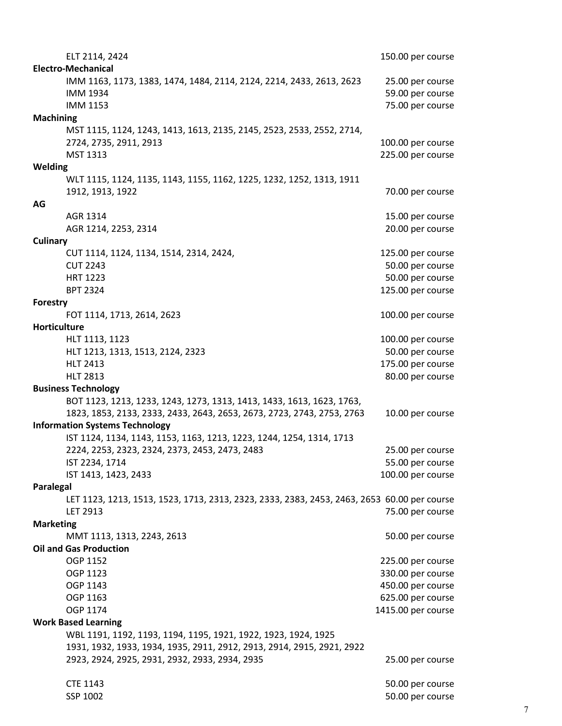| ELT 2114, 2424                                                                              | 150.00 per course  |
|---------------------------------------------------------------------------------------------|--------------------|
| <b>Electro-Mechanical</b>                                                                   |                    |
| IMM 1163, 1173, 1383, 1474, 1484, 2114, 2124, 2214, 2433, 2613, 2623                        | 25.00 per course   |
| <b>IMM 1934</b>                                                                             | 59.00 per course   |
| <b>IMM 1153</b>                                                                             | 75.00 per course   |
| <b>Machining</b>                                                                            |                    |
| MST 1115, 1124, 1243, 1413, 1613, 2135, 2145, 2523, 2533, 2552, 2714,                       |                    |
| 2724, 2735, 2911, 2913                                                                      | 100.00 per course  |
| MST 1313                                                                                    | 225.00 per course  |
| Welding                                                                                     |                    |
| WLT 1115, 1124, 1135, 1143, 1155, 1162, 1225, 1232, 1252, 1313, 1911                        |                    |
| 1912, 1913, 1922                                                                            | 70.00 per course   |
| AG                                                                                          |                    |
| AGR 1314                                                                                    | 15.00 per course   |
| AGR 1214, 2253, 2314                                                                        | 20.00 per course   |
| Culinary                                                                                    |                    |
| CUT 1114, 1124, 1134, 1514, 2314, 2424,                                                     |                    |
| <b>CUT 2243</b>                                                                             | 125.00 per course  |
|                                                                                             | 50.00 per course   |
| <b>HRT 1223</b>                                                                             | 50.00 per course   |
| <b>BPT 2324</b>                                                                             | 125.00 per course  |
| Forestry                                                                                    |                    |
| FOT 1114, 1713, 2614, 2623                                                                  | 100.00 per course  |
| Horticulture                                                                                |                    |
| HLT 1113, 1123                                                                              | 100.00 per course  |
| HLT 1213, 1313, 1513, 2124, 2323                                                            | 50.00 per course   |
| <b>HLT 2413</b>                                                                             | 175.00 per course  |
| <b>HLT 2813</b>                                                                             | 80.00 per course   |
| <b>Business Technology</b>                                                                  |                    |
| BOT 1123, 1213, 1233, 1243, 1273, 1313, 1413, 1433, 1613, 1623, 1763,                       |                    |
| 1823, 1853, 2133, 2333, 2433, 2643, 2653, 2673, 2723, 2743, 2753, 2763                      | 10.00 per course   |
| <b>Information Systems Technology</b>                                                       |                    |
| IST 1124, 1134, 1143, 1153, 1163, 1213, 1223, 1244, 1254, 1314, 1713                        |                    |
| 2224, 2253, 2323, 2324, 2373, 2453, 2473, 2483                                              | 25.00 per course   |
| IST 2234, 1714                                                                              | 55.00 per course   |
| IST 1413, 1423, 2433                                                                        | 100.00 per course  |
| Paralegal                                                                                   |                    |
| LET 1123, 1213, 1513, 1523, 1713, 2313, 2323, 2333, 2383, 2453, 2463, 2653 60.00 per course |                    |
| LET 2913                                                                                    | 75.00 per course   |
| <b>Marketing</b>                                                                            |                    |
| MMT 1113, 1313, 2243, 2613                                                                  | 50.00 per course   |
| <b>Oil and Gas Production</b>                                                               |                    |
| OGP 1152                                                                                    | 225.00 per course  |
| OGP 1123                                                                                    | 330.00 per course  |
| OGP 1143                                                                                    | 450.00 per course  |
| OGP 1163                                                                                    | 625.00 per course  |
| OGP 1174                                                                                    | 1415.00 per course |
| <b>Work Based Learning</b>                                                                  |                    |
| WBL 1191, 1192, 1193, 1194, 1195, 1921, 1922, 1923, 1924, 1925                              |                    |
| 1931, 1932, 1933, 1934, 1935, 2911, 2912, 2913, 2914, 2915, 2921, 2922                      |                    |
| 2923, 2924, 2925, 2931, 2932, 2933, 2934, 2935                                              | 25.00 per course   |
|                                                                                             |                    |
| <b>CTE 1143</b>                                                                             | 50.00 per course   |
| SSP 1002                                                                                    | 50.00 per course   |
|                                                                                             |                    |

7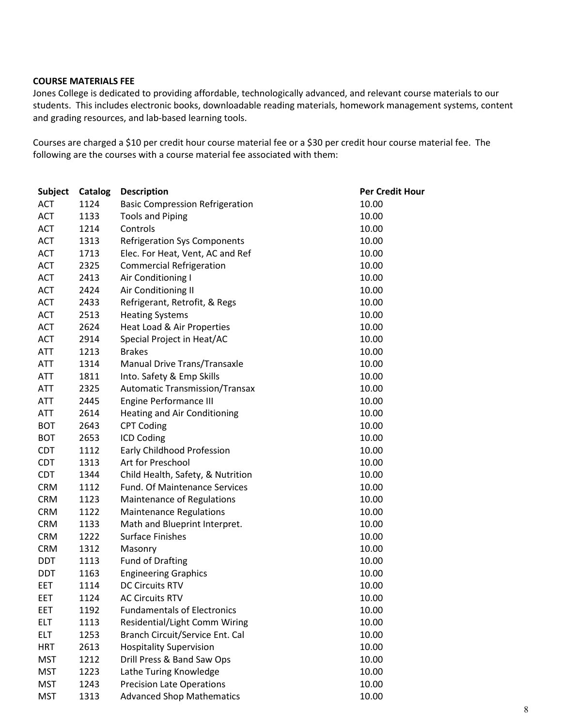#### **COURSE MATERIALS FEE**

Jones College is dedicated to providing affordable, technologically advanced, and relevant course materials to our students. This includes electronic books, downloadable reading materials, homework management systems, content and grading resources, and lab-based learning tools.

Courses are charged a \$10 per credit hour course material fee or a \$30 per credit hour course material fee. The following are the courses with a course material fee associated with them:

| <b>Subject</b> | <b>Catalog</b> | <b>Description</b>                     | <b>Per Credit Hour</b> |
|----------------|----------------|----------------------------------------|------------------------|
| <b>ACT</b>     | 1124           | <b>Basic Compression Refrigeration</b> | 10.00                  |
| <b>ACT</b>     | 1133           | <b>Tools and Piping</b>                | 10.00                  |
| <b>ACT</b>     | 1214           | Controls                               | 10.00                  |
| <b>ACT</b>     | 1313           | <b>Refrigeration Sys Components</b>    | 10.00                  |
| <b>ACT</b>     | 1713           | Elec. For Heat, Vent, AC and Ref       | 10.00                  |
| <b>ACT</b>     | 2325           | <b>Commercial Refrigeration</b>        | 10.00                  |
| <b>ACT</b>     | 2413           | Air Conditioning I                     | 10.00                  |
| <b>ACT</b>     | 2424           | Air Conditioning II                    | 10.00                  |
| <b>ACT</b>     | 2433           | Refrigerant, Retrofit, & Regs          | 10.00                  |
| <b>ACT</b>     | 2513           | <b>Heating Systems</b>                 | 10.00                  |
| <b>ACT</b>     | 2624           | Heat Load & Air Properties             | 10.00                  |
| <b>ACT</b>     | 2914           | Special Project in Heat/AC             | 10.00                  |
| <b>ATT</b>     | 1213           | <b>Brakes</b>                          | 10.00                  |
| <b>ATT</b>     | 1314           | Manual Drive Trans/Transaxle           | 10.00                  |
| <b>ATT</b>     | 1811           | Into. Safety & Emp Skills              | 10.00                  |
| <b>ATT</b>     | 2325           | <b>Automatic Transmission/Transax</b>  | 10.00                  |
| ATT            | 2445           | <b>Engine Performance III</b>          | 10.00                  |
| <b>ATT</b>     | 2614           | <b>Heating and Air Conditioning</b>    | 10.00                  |
| <b>BOT</b>     | 2643           | <b>CPT Coding</b>                      | 10.00                  |
| <b>BOT</b>     | 2653           | <b>ICD Coding</b>                      | 10.00                  |
| <b>CDT</b>     | 1112           | Early Childhood Profession             | 10.00                  |
| <b>CDT</b>     | 1313           | Art for Preschool                      | 10.00                  |
| <b>CDT</b>     | 1344           | Child Health, Safety, & Nutrition      | 10.00                  |
| <b>CRM</b>     | 1112           | Fund. Of Maintenance Services          | 10.00                  |
| <b>CRM</b>     | 1123           | Maintenance of Regulations             | 10.00                  |
| <b>CRM</b>     | 1122           | <b>Maintenance Regulations</b>         | 10.00                  |
| <b>CRM</b>     | 1133           | Math and Blueprint Interpret.          | 10.00                  |
| <b>CRM</b>     | 1222           | <b>Surface Finishes</b>                | 10.00                  |
| <b>CRM</b>     | 1312           | Masonry                                | 10.00                  |
| DDT            | 1113           | <b>Fund of Drafting</b>                | 10.00                  |
| DDT            | 1163           | <b>Engineering Graphics</b>            | 10.00                  |
| <b>EET</b>     | 1114           | <b>DC Circuits RTV</b>                 | 10.00                  |
| EET            | 1124           | <b>AC Circuits RTV</b>                 | 10.00                  |
| EET            | 1192           | <b>Fundamentals of Electronics</b>     | 10.00                  |
| <b>ELT</b>     | 1113           | Residential/Light Comm Wiring          | 10.00                  |
| <b>ELT</b>     | 1253           | Branch Circuit/Service Ent. Cal        | 10.00                  |
| <b>HRT</b>     | 2613           | <b>Hospitality Supervision</b>         | 10.00                  |
| <b>MST</b>     | 1212           | Drill Press & Band Saw Ops             | 10.00                  |
| <b>MST</b>     | 1223           | Lathe Turing Knowledge                 | 10.00                  |
| <b>MST</b>     | 1243           | <b>Precision Late Operations</b>       | 10.00                  |
| <b>MST</b>     | 1313           | <b>Advanced Shop Mathematics</b>       | 10.00                  |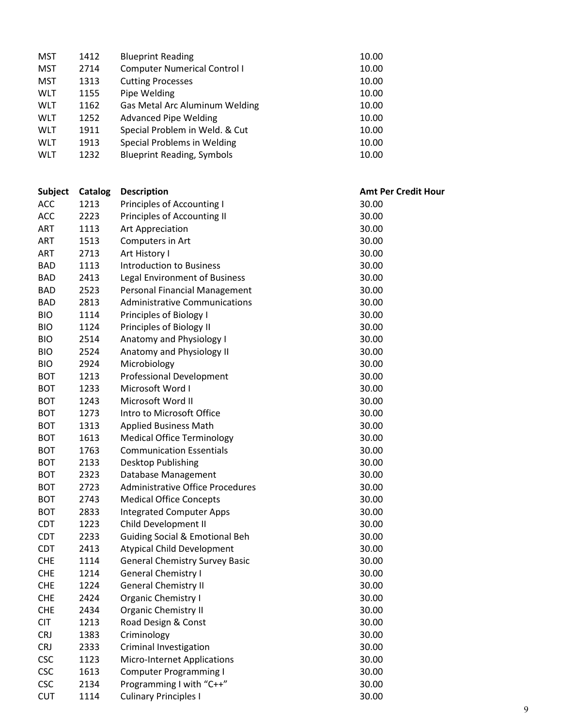| <b>MST</b> | 1412    | <b>Blueprint Reading</b>                  | 10.00                      |
|------------|---------|-------------------------------------------|----------------------------|
| <b>MST</b> | 2714    | <b>Computer Numerical Control I</b>       | 10.00                      |
| <b>MST</b> | 1313    | <b>Cutting Processes</b>                  | 10.00                      |
| <b>WLT</b> | 1155    | Pipe Welding                              | 10.00                      |
| <b>WLT</b> | 1162    | Gas Metal Arc Aluminum Welding            | 10.00                      |
| <b>WLT</b> | 1252    | <b>Advanced Pipe Welding</b>              | 10.00                      |
| <b>WLT</b> | 1911    | Special Problem in Weld. & Cut            | 10.00                      |
| <b>WLT</b> | 1913    | Special Problems in Welding               | 10.00                      |
| <b>WLT</b> | 1232    | <b>Blueprint Reading, Symbols</b>         | 10.00                      |
|            |         |                                           |                            |
| Subject    | Catalog | <b>Description</b>                        | <b>Amt Per Credit Hour</b> |
| <b>ACC</b> | 1213    | Principles of Accounting I                | 30.00                      |
| <b>ACC</b> | 2223    | Principles of Accounting II               | 30.00                      |
| ART        | 1113    | Art Appreciation                          | 30.00                      |
| <b>ART</b> | 1513    | Computers in Art                          | 30.00                      |
| <b>ART</b> | 2713    | Art History I                             | 30.00                      |
| <b>BAD</b> | 1113    | <b>Introduction to Business</b>           | 30.00                      |
| <b>BAD</b> | 2413    | Legal Environment of Business             | 30.00                      |
| <b>BAD</b> | 2523    | Personal Financial Management             | 30.00                      |
| <b>BAD</b> | 2813    | <b>Administrative Communications</b>      | 30.00                      |
| <b>BIO</b> | 1114    | Principles of Biology I                   | 30.00                      |
| <b>BIO</b> | 1124    | Principles of Biology II                  | 30.00                      |
| <b>BIO</b> | 2514    | Anatomy and Physiology I                  | 30.00                      |
| <b>BIO</b> | 2524    | Anatomy and Physiology II                 | 30.00                      |
| <b>BIO</b> | 2924    | Microbiology                              | 30.00                      |
| <b>BOT</b> | 1213    | <b>Professional Development</b>           | 30.00                      |
| <b>BOT</b> | 1233    | Microsoft Word I                          | 30.00                      |
| <b>BOT</b> | 1243    | Microsoft Word II                         | 30.00                      |
| <b>BOT</b> | 1273    | Intro to Microsoft Office                 | 30.00                      |
| <b>BOT</b> | 1313    | <b>Applied Business Math</b>              | 30.00                      |
| <b>BOT</b> | 1613    | <b>Medical Office Terminology</b>         | 30.00                      |
| <b>BOT</b> | 1763    | <b>Communication Essentials</b>           | 30.00                      |
| <b>BOT</b> | 2133    | Desktop Publishing                        | 30.00                      |
| <b>BOT</b> | 2323    | Database Management                       | 30.00                      |
| <b>BOT</b> | 2723    | <b>Administrative Office Procedures</b>   | 30.00                      |
| <b>BOT</b> | 2743    | <b>Medical Office Concepts</b>            | 30.00                      |
| <b>BOT</b> | 2833    | <b>Integrated Computer Apps</b>           | 30.00                      |
| <b>CDT</b> | 1223    | Child Development II                      | 30.00                      |
| <b>CDT</b> | 2233    | <b>Guiding Social &amp; Emotional Beh</b> | 30.00                      |
| <b>CDT</b> | 2413    | <b>Atypical Child Development</b>         | 30.00                      |
| <b>CHE</b> | 1114    | <b>General Chemistry Survey Basic</b>     | 30.00                      |
| <b>CHE</b> | 1214    | <b>General Chemistry I</b>                | 30.00                      |
| <b>CHE</b> | 1224    | <b>General Chemistry II</b>               | 30.00                      |
| <b>CHE</b> | 2424    | Organic Chemistry I                       | 30.00                      |
| <b>CHE</b> | 2434    | <b>Organic Chemistry II</b>               | 30.00                      |
| <b>CIT</b> | 1213    | Road Design & Const                       | 30.00                      |
| <b>CRJ</b> | 1383    | Criminology                               | 30.00                      |
| <b>CRJ</b> | 2333    | Criminal Investigation                    | 30.00                      |
| <b>CSC</b> | 1123    | Micro-Internet Applications               | 30.00                      |
| <b>CSC</b> | 1613    | <b>Computer Programming I</b>             | 30.00                      |
| <b>CSC</b> | 2134    | Programming I with "C++"                  | 30.00                      |
| <b>CUT</b> | 1114    | <b>Culinary Principles I</b>              | 30.00                      |
|            |         |                                           |                            |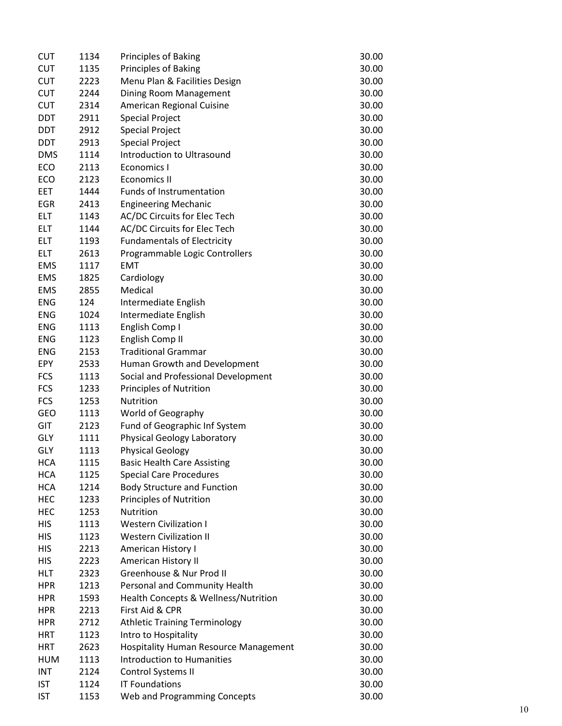| <b>CUT</b>               | 1134 | <b>Principles of Baking</b>           | 30.00 |
|--------------------------|------|---------------------------------------|-------|
| <b>CUT</b>               | 1135 | Principles of Baking                  | 30.00 |
| <b>CUT</b>               | 2223 | Menu Plan & Facilities Design         | 30.00 |
| <b>CUT</b>               | 2244 | Dining Room Management                | 30.00 |
| <b>CUT</b>               | 2314 | American Regional Cuisine             | 30.00 |
| <b>DDT</b>               | 2911 | <b>Special Project</b>                | 30.00 |
| <b>DDT</b>               | 2912 | <b>Special Project</b>                | 30.00 |
| DDT                      | 2913 | <b>Special Project</b>                | 30.00 |
| <b>DMS</b>               | 1114 | Introduction to Ultrasound            | 30.00 |
| ECO                      | 2113 | Economics I                           | 30.00 |
| ECO                      | 2123 | <b>Economics II</b>                   | 30.00 |
| EET                      | 1444 | Funds of Instrumentation              | 30.00 |
| EGR                      | 2413 | <b>Engineering Mechanic</b>           | 30.00 |
| <b>ELT</b>               | 1143 | AC/DC Circuits for Elec Tech          | 30.00 |
| <b>ELT</b>               | 1144 | AC/DC Circuits for Elec Tech          | 30.00 |
| <b>ELT</b>               | 1193 | <b>Fundamentals of Electricity</b>    | 30.00 |
| <b>ELT</b>               | 2613 | Programmable Logic Controllers        | 30.00 |
| <b>EMS</b>               | 1117 | <b>EMT</b>                            | 30.00 |
| <b>EMS</b>               | 1825 | Cardiology                            | 30.00 |
| <b>EMS</b>               | 2855 | Medical                               | 30.00 |
| <b>ENG</b>               | 124  | Intermediate English                  | 30.00 |
| <b>ENG</b>               | 1024 | Intermediate English                  | 30.00 |
| <b>ENG</b>               | 1113 | English Comp I                        | 30.00 |
| <b>ENG</b>               | 1123 | English Comp II                       | 30.00 |
| <b>ENG</b>               | 2153 | <b>Traditional Grammar</b>            | 30.00 |
| EPY                      | 2533 | Human Growth and Development          | 30.00 |
| <b>FCS</b>               | 1113 | Social and Professional Development   | 30.00 |
| <b>FCS</b>               | 1233 | <b>Principles of Nutrition</b>        | 30.00 |
| <b>FCS</b>               | 1253 | Nutrition                             | 30.00 |
| <b>GEO</b>               | 1113 | World of Geography                    | 30.00 |
| GIT                      | 2123 | Fund of Geographic Inf System         | 30.00 |
| <b>GLY</b>               | 1111 | Physical Geology Laboratory           | 30.00 |
| GLY                      | 1113 | <b>Physical Geology</b>               | 30.00 |
| <b>HCA</b>               | 1115 | <b>Basic Health Care Assisting</b>    | 30.00 |
| <b>HCA</b>               | 1125 |                                       |       |
|                          | 1214 | <b>Special Care Procedures</b>        | 30.00 |
| <b>HCA</b><br><b>HEC</b> |      | <b>Body Structure and Function</b>    | 30.00 |
|                          | 1233 | <b>Principles of Nutrition</b>        | 30.00 |
| HEC                      | 1253 | Nutrition                             | 30.00 |
| HIS                      | 1113 | <b>Western Civilization I</b>         | 30.00 |
| <b>HIS</b>               | 1123 | <b>Western Civilization II</b>        | 30.00 |
| <b>HIS</b>               | 2213 | American History I                    | 30.00 |
| <b>HIS</b>               | 2223 | American History II                   | 30.00 |
| <b>HLT</b>               | 2323 | Greenhouse & Nur Prod II              | 30.00 |
| <b>HPR</b>               | 1213 | Personal and Community Health         | 30.00 |
| <b>HPR</b>               | 1593 | Health Concepts & Wellness/Nutrition  | 30.00 |
| <b>HPR</b>               | 2213 | First Aid & CPR                       | 30.00 |
| <b>HPR</b>               | 2712 | <b>Athletic Training Terminology</b>  | 30.00 |
| HRT                      | 1123 | Intro to Hospitality                  | 30.00 |
| <b>HRT</b>               | 2623 | Hospitality Human Resource Management | 30.00 |
| HUM                      | 1113 | Introduction to Humanities            | 30.00 |
| <b>INT</b>               | 2124 | Control Systems II                    | 30.00 |
| <b>IST</b>               | 1124 | <b>IT Foundations</b>                 | 30.00 |
| <b>IST</b>               | 1153 | Web and Programming Concepts          | 30.00 |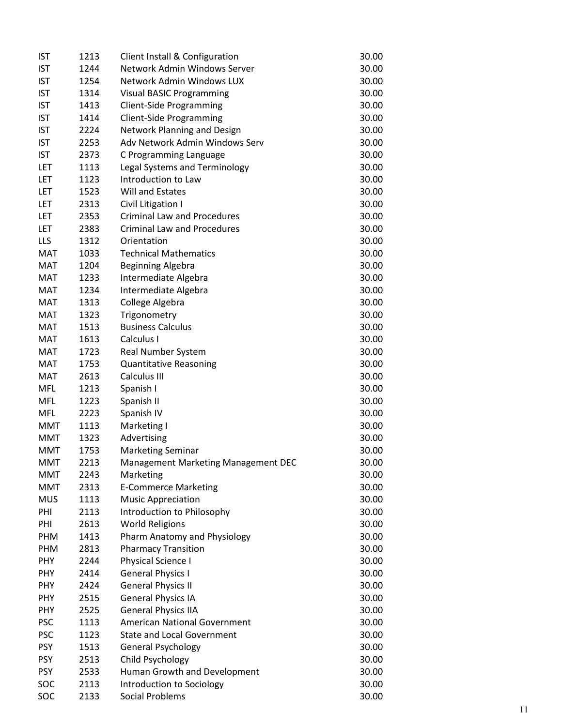| <b>IST</b> | 1213 | Client Install & Configuration      | 30.00 |
|------------|------|-------------------------------------|-------|
| <b>IST</b> | 1244 | Network Admin Windows Server        | 30.00 |
| <b>IST</b> | 1254 | Network Admin Windows LUX           | 30.00 |
| <b>IST</b> | 1314 | <b>Visual BASIC Programming</b>     | 30.00 |
| <b>IST</b> | 1413 | <b>Client-Side Programming</b>      | 30.00 |
| <b>IST</b> | 1414 | <b>Client-Side Programming</b>      | 30.00 |
| <b>IST</b> | 2224 | <b>Network Planning and Design</b>  | 30.00 |
| <b>IST</b> | 2253 | Adv Network Admin Windows Serv      | 30.00 |
| <b>IST</b> | 2373 | C Programming Language              | 30.00 |
| LET        | 1113 | Legal Systems and Terminology       | 30.00 |
| LET        | 1123 | Introduction to Law                 | 30.00 |
| LET        | 1523 | Will and Estates                    | 30.00 |
| LET        | 2313 | Civil Litigation I                  | 30.00 |
| LET        | 2353 | <b>Criminal Law and Procedures</b>  | 30.00 |
| LET        | 2383 | <b>Criminal Law and Procedures</b>  | 30.00 |
| <b>LLS</b> | 1312 | Orientation                         | 30.00 |
| <b>MAT</b> | 1033 | <b>Technical Mathematics</b>        | 30.00 |
| <b>MAT</b> | 1204 | <b>Beginning Algebra</b>            | 30.00 |
| <b>MAT</b> | 1233 | Intermediate Algebra                | 30.00 |
| <b>MAT</b> | 1234 | Intermediate Algebra                | 30.00 |
| <b>MAT</b> | 1313 | College Algebra                     | 30.00 |
| <b>MAT</b> | 1323 | Trigonometry                        | 30.00 |
| <b>MAT</b> | 1513 | <b>Business Calculus</b>            | 30.00 |
| <b>MAT</b> | 1613 | Calculus I                          | 30.00 |
| <b>MAT</b> | 1723 | Real Number System                  | 30.00 |
| MAT        | 1753 | <b>Quantitative Reasoning</b>       | 30.00 |
| <b>MAT</b> | 2613 | Calculus III                        | 30.00 |
| <b>MFL</b> | 1213 | Spanish I                           | 30.00 |
| <b>MFL</b> | 1223 | Spanish II                          | 30.00 |
| <b>MFL</b> | 2223 | Spanish IV                          | 30.00 |
| <b>MMT</b> | 1113 | Marketing I                         | 30.00 |
| <b>MMT</b> | 1323 | Advertising                         | 30.00 |
| <b>MMT</b> | 1753 | <b>Marketing Seminar</b>            | 30.00 |
| <b>MMT</b> | 2213 | Management Marketing Management DEC | 30.00 |
| MMT        | 2243 | Marketing                           | 30.00 |
| <b>MMT</b> | 2313 | <b>E-Commerce Marketing</b>         | 30.00 |
| <b>MUS</b> | 1113 | <b>Music Appreciation</b>           | 30.00 |
| PHI        | 2113 | Introduction to Philosophy          | 30.00 |
| PHI        | 2613 | <b>World Religions</b>              | 30.00 |
| PHM        | 1413 | Pharm Anatomy and Physiology        | 30.00 |
| PHM        | 2813 | <b>Pharmacy Transition</b>          | 30.00 |
| <b>PHY</b> | 2244 | Physical Science I                  | 30.00 |
| <b>PHY</b> | 2414 | <b>General Physics I</b>            | 30.00 |
| <b>PHY</b> | 2424 | <b>General Physics II</b>           | 30.00 |
| PHY        | 2515 | <b>General Physics IA</b>           | 30.00 |
| <b>PHY</b> | 2525 | <b>General Physics IIA</b>          | 30.00 |
| <b>PSC</b> | 1113 | <b>American National Government</b> | 30.00 |
| <b>PSC</b> | 1123 | <b>State and Local Government</b>   | 30.00 |
| <b>PSY</b> | 1513 | <b>General Psychology</b>           | 30.00 |
| <b>PSY</b> | 2513 | Child Psychology                    | 30.00 |
| <b>PSY</b> | 2533 | Human Growth and Development        | 30.00 |
| SOC        | 2113 | Introduction to Sociology           | 30.00 |
| SOC        | 2133 | <b>Social Problems</b>              | 30.00 |
|            |      |                                     |       |